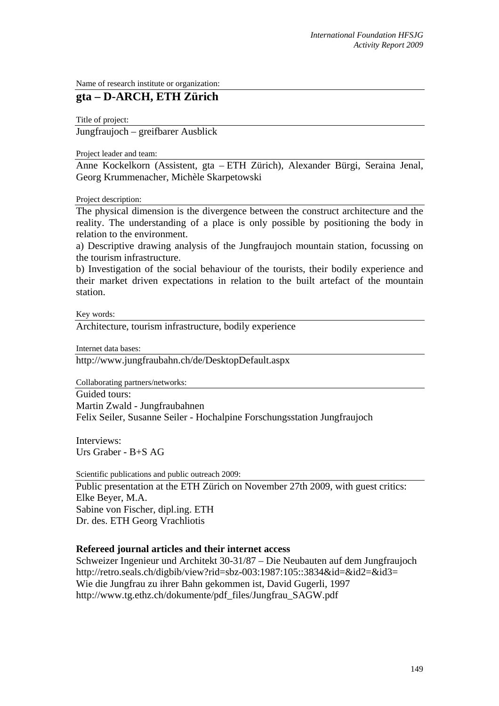Name of research institute or organization:

## **gta – D-ARCH, ETH Zürich**

Title of project:

Jungfraujoch – greifbarer Ausblick

Project leader and team:

Anne Kockelkorn (Assistent, gta – ETH Zürich), Alexander Bürgi, Seraina Jenal, Georg Krummenacher, Michèle Skarpetowski

Project description:

The physical dimension is the divergence between the construct architecture and the reality. The understanding of a place is only possible by positioning the body in relation to the environment.

a) Descriptive drawing analysis of the Jungfraujoch mountain station, focussing on the tourism infrastructure.

b) Investigation of the social behaviour of the tourists, their bodily experience and their market driven expectations in relation to the built artefact of the mountain station.

Key words:

Architecture, tourism infrastructure, bodily experience

Internet data bases:

http://www.jungfraubahn.ch/de/DesktopDefault.aspx

Collaborating partners/networks:

Guided tours: Martin Zwald - Jungfraubahnen Felix Seiler, Susanne Seiler - Hochalpine Forschungsstation Jungfraujoch

Interviews: Urs Graber - B+S AG

Scientific publications and public outreach 2009:

Public presentation at the ETH Zürich on November 27th 2009, with guest critics: Elke Beyer, M.A. Sabine von Fischer, dipl.ing. ETH Dr. des. ETH Georg Vrachliotis

## **Refereed journal articles and their internet access**

Schweizer Ingenieur und Architekt 30-31/87 – Die Neubauten auf dem Jungfraujoch http://retro.seals.ch/digbib/view?rid=sbz-003:1987:105::3834&id=&id2=&id3= Wie die Jungfrau zu ihrer Bahn gekommen ist, David Gugerli, 1997 http://www.tg.ethz.ch/dokumente/pdf\_files/Jungfrau\_SAGW.pdf